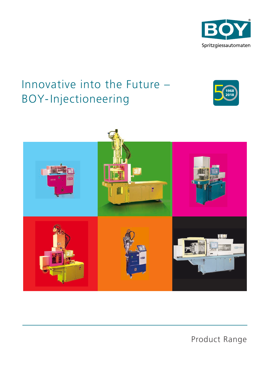

# Innovative into the Future – BOY-Injectioneering





Product Range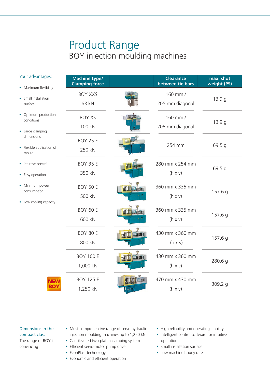## Product Range BOY injection moulding machines

| Your advantages:                                                                                         | <b>Machine type/</b><br><b>Clamping force</b> | <b>Clearance</b><br>between tie bars | max. shot<br>weight (PS) |
|----------------------------------------------------------------------------------------------------------|-----------------------------------------------|--------------------------------------|--------------------------|
| • Maximum flexibility<br>Small installation<br>surface                                                   | <b>BOY XXS</b><br>63 kN                       | 160 mm /<br>205 mm diagonal          | 13.9q                    |
| Optimum production<br>conditions<br>• Large clamping<br>dimensions<br>• Flexible application of<br>mould | <b>BOY XS</b><br>100 kN                       | 160 mm /<br>205 mm diagonal          | 13.9 g                   |
|                                                                                                          | <b>BOY 25 E</b><br>250 kN                     | 254 mm                               | 69.5 g                   |
| Intuitive control<br>• Easy operation                                                                    | <b>BOY 35 E</b><br>350 kN                     | 280 mm x 254 mm<br>$(h \times v)$    | 69.5 g                   |
| Minimum power<br>۰<br>consumption<br>• Low cooling capacity                                              | <b>BOY 50 E</b><br>500 kN                     | 360 mm x 335 mm<br>$(h \times v)$    | 157.6 g                  |
|                                                                                                          | BOY 60 E<br>600 kN                            | 360 mm x 335 mm<br>$(h \times v)$    | 157.6 g                  |
|                                                                                                          | BOY 80 E<br>800 kN                            | 430 mm x 360 mm<br>$(h \times v)$    | 157.6 g                  |
|                                                                                                          | <b>BOY 100 E</b><br>1,000 kN                  | 430 mm x 360 mm<br>$(h \times v)$    | 280.6 g                  |
| <b>NEW</b><br><b>BOY</b>                                                                                 | <b>BOY 125 E</b><br>1,250 kN                  | 470 mm x 430 mm<br>$(h \times v)$    | 309.2 g                  |

## Dimensions in the compact class

### The range of BOY is convincing

- Most comprehensive range of servo hydraulic injection moulding machines up to 1,250 kN • Cantilevered two-platen clamping system
- Efficient servo-motor pump drive
- EconPlast technology
- Economic and efficient operation
- High reliability and operating stability
- Intelligent control software for intuitive operation
- Small installation surface
- Low machine hourly rates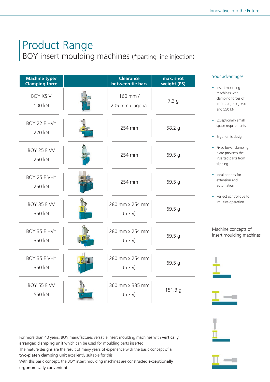# Product Range

BOY insert moulding machines (\*parting line injection)

| <b>Machine type/</b><br><b>Clamping force</b> | <b>Clearance</b><br>between tie bars | max. shot<br>weight (PS) |
|-----------------------------------------------|--------------------------------------|--------------------------|
| <b>BOY XS V</b><br>100 kN                     | 160 mm /<br>205 mm diagonal          | 7.3 <sub>g</sub>         |
| <b>BOY 22 E HV*</b><br>220 kN                 | 254 mm                               | 58.2 g                   |
| BOY 25 E VV<br>250 kN                         | 254 mm                               | 69.5 g                   |
| <b>BOY 25 E VH*</b><br>250 kN                 | 254 mm                               | 69.5 g                   |
| BOY 35 E VV<br>350 kN                         | 280 mm x 254 mm<br>$(h \times v)$    | 69.5 g                   |
| BOY 35 E HV*<br>350 kN                        | 280 mm x 254 mm<br>$(h \times v)$    | 69.5 g                   |
| <b>BOY 35 E VH*</b><br>350 kN                 | 280 mm x 254 mm<br>$(h \times v)$    | 69.5 g                   |
| <b>BOY 55 E VV</b><br>550 kN                  | 360 mm x 335 mm<br>$(h \times v)$    | 151.3 g                  |

### Your advantages:

- Insert moulding machines with clamping forces of 100, 220, 250, 350 and 550 kN
- Exceptionally small space requirements
- Ergonomic design
- Fixed lower clamping plate prevents the inserted parts from slipping
- Ideal options for extension and automation
- Perfect control due to intuitive operation

Machine concepts of insert moulding machines





![](_page_2_Picture_14.jpeg)

For more than 40 years, BOY manufactures versatile insert moulding machines with vertically arranged clamping unit which can be used for moulding parts inserted. The mature designs are the result of many years of experience with the basic concept of a

two-platen clamping unit excellently suitable for this.

With this basic concept, the BOY insert moulding machines are constructed exceptionally ergonomically convenient.

![](_page_2_Picture_18.jpeg)